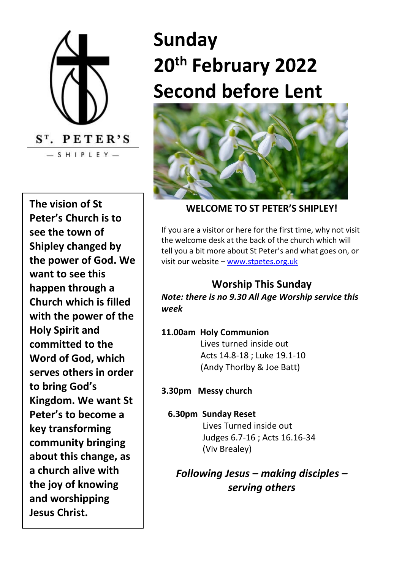

**The vision of St Peter's Church is to see the town of Shipley changed by the power of God. We want to see this happen through a Church which is filled with the power of the Holy Spirit and committed to the Word of God, which serves others in order to bring God's Kingdom. We want St Peter's to become a key transforming community bringing about this change, as a church alive with the joy of knowing and worshipping Jesus Christ.**

# **Sunday 20th February 2022 Second before Lent**



#### **WELCOME TO ST PETER'S SHIPLEY!**

If you are a visitor or here for the first time, why not visit the welcome desk at the back of the church which will tell you a bit more about St Peter's and what goes on, or visit our website – [www.stpetes.org.uk](http://www.stpetes.org.uk/)

## **Worship This Sunday**

*Note: there is no 9.30 All Age Worship service this week*

**11.00am Holy Communion** Lives turned inside out Acts 14.8-18 ; Luke 19.1-10 (Andy Thorlby & Joe Batt)

**3.30pm Messy church**

**6.30pm Sunday Reset** Lives Turned inside out Judges 6.7-16 ; Acts 16.16-34 (Viv Brealey)

*Following Jesus – making disciples – serving others*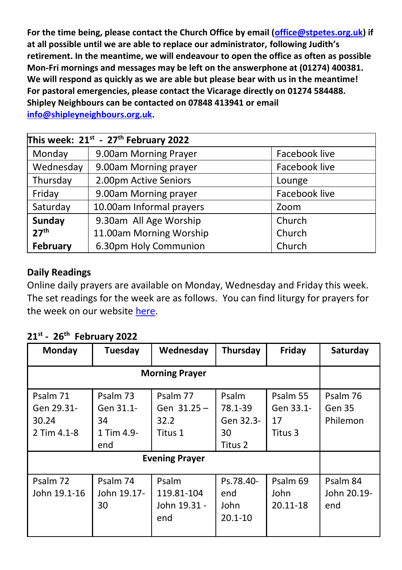**For the time being, please contact the Church Office by email [\(office@stpetes.org.uk\)](mailto:office@stpetes.org.uk) if at all possible until we are able to replace our administrator, following Judith's retirement. In the meantime, we will endeavour to open the office as often as possible Mon-Fri mornings and messages may be left on the answerphone at (01274) 400381. We will respond as quickly as we are able but please bear with us in the meantime! For pastoral emergencies, please contact the Vicarage directly on 01274 584488. Shipley Neighbours can be contacted on 07848 413941 or email [info@shipleyneighbours.org.uk.](mailto:info@shipleyneighbours.org.uk)**

| This week: $21^{st}$ - $27^{th}$ February 2022 |                          |               |  |  |  |
|------------------------------------------------|--------------------------|---------------|--|--|--|
| Monday                                         | 9.00am Morning Prayer    | Facebook live |  |  |  |
| Wednesday                                      | 9.00am Morning prayer    | Facebook live |  |  |  |
| Thursday                                       | 2.00pm Active Seniors    | Lounge        |  |  |  |
| Friday                                         | 9.00am Morning prayer    | Facebook live |  |  |  |
| Saturday                                       | 10.00am Informal prayers | Zoom          |  |  |  |
| Sunday                                         | 9.30am All Age Worship   | Church        |  |  |  |
| 27 <sup>th</sup>                               | 11.00am Morning Worship  | Church        |  |  |  |
| February                                       | 6.30pm Holy Communion    | Church        |  |  |  |

## **Daily Readings**

Online daily prayers are available on Monday, Wednesday and Friday this week. The set readings for the week are as follows. You can find liturgy for prayers for the week on our websit[e here.](https://stpetes.org.uk/)

|  |  | $21^{st}$ - 26 <sup>th</sup> February 2022 |  |
|--|--|--------------------------------------------|--|
|--|--|--------------------------------------------|--|

| Monday                                         | Tuesday                                          | Wednesday                                  | Thursday                                       | Friday                                 | Saturday                       |
|------------------------------------------------|--------------------------------------------------|--------------------------------------------|------------------------------------------------|----------------------------------------|--------------------------------|
| <b>Morning Prayer</b>                          |                                                  |                                            |                                                |                                        |                                |
| Psalm 71<br>Gen 29.31-<br>30.24<br>2 Tim 4.1-8 | Psalm 73<br>Gen 31.1-<br>34<br>1 Tim 4.9-<br>end | Psalm 77<br>Gen 31.25 –<br>32.2<br>Titus 1 | Psalm<br>78.1-39<br>Gen 32.3-<br>30<br>Titus 2 | Psalm 55<br>Gen 33.1-<br>17<br>Titus 3 | Psalm 76<br>Gen 35<br>Philemon |
| <b>Evening Prayer</b>                          |                                                  |                                            |                                                |                                        |                                |
| Psalm 72<br>John 19.1-16                       | Psalm 74<br>John 19.17-<br>30                    | Psalm<br>119.81-104<br>John 19.31 -<br>end | Ps.78.40-<br>end<br>John<br>$20.1 - 10$        | Psalm 69<br>John<br>20.11-18           | Psalm 84<br>John 20.19-<br>end |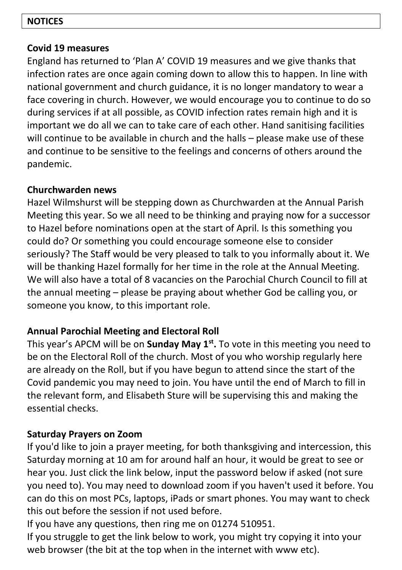#### **NOTICES**

#### **Covid 19 measures**

England has returned to 'Plan A' COVID 19 measures and we give thanks that infection rates are once again coming down to allow this to happen. In line with national government and church guidance, it is no longer mandatory to wear a face covering in church. However, we would encourage you to continue to do so during services if at all possible, as COVID infection rates remain high and it is important we do all we can to take care of each other. Hand sanitising facilities will continue to be available in church and the halls – please make use of these and continue to be sensitive to the feelings and concerns of others around the pandemic.

## **Churchwarden news**

Hazel Wilmshurst will be stepping down as Churchwarden at the Annual Parish Meeting this year. So we all need to be thinking and praying now for a successor to Hazel before nominations open at the start of April. Is this something you could do? Or something you could encourage someone else to consider seriously? The Staff would be very pleased to talk to you informally about it. We will be thanking Hazel formally for her time in the role at the Annual Meeting. We will also have a total of 8 vacancies on the Parochial Church Council to fill at the annual meeting – please be praying about whether God be calling you, or someone you know, to this important role.

## **Annual Parochial Meeting and Electoral Roll**

This year's APCM will be on **Sunday May 1st .** To vote in this meeting you need to be on the Electoral Roll of the church. Most of you who worship regularly here are already on the Roll, but if you have begun to attend since the start of the Covid pandemic you may need to join. You have until the end of March to fill in the relevant form, and Elisabeth Sture will be supervising this and making the essential checks.

## **Saturday Prayers on Zoom**

If you'd like to join a prayer meeting, for both thanksgiving and intercession, this Saturday morning at 10 am for around half an hour, it would be great to see or hear you. Just click the link below, input the password below if asked (not sure you need to). You may need to download zoom if you haven't used it before. You can do this on most PCs, laptops, iPads or smart phones. You may want to check this out before the session if not used before.

If you have any questions, then ring me on 01274 510951.

If you struggle to get the link below to work, you might try copying it into your web browser (the bit at the top when in the internet with www etc).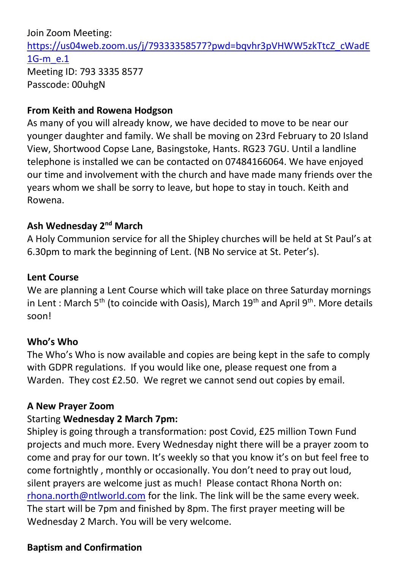Join Zoom Meeting: [https://us04web.zoom.us/j/79333358577?pwd=bqvhr3pVHWW5zkTtcZ\\_cWadE](https://us04web.zoom.us/j/79333358577?pwd=bqvhr3pVHWW5zkTtcZ_cWadE1G-m_e.1) [1G-m\\_e.1](https://us04web.zoom.us/j/79333358577?pwd=bqvhr3pVHWW5zkTtcZ_cWadE1G-m_e.1) Meeting ID: 793 3335 8577 Passcode: 00uhgN

#### **From Keith and Rowena Hodgson**

As many of you will already know, we have decided to move to be near our younger daughter and family. We shall be moving on 23rd February to 20 Island View, Shortwood Copse Lane, Basingstoke, Hants. RG23 7GU. Until a landline telephone is installed we can be contacted on 07484166064. We have enjoyed our time and involvement with the church and have made many friends over the years whom we shall be sorry to leave, but hope to stay in touch. Keith and Rowena.

## **Ash Wednesday 2nd March**

A Holy Communion service for all the Shipley churches will be held at St Paul's at 6.30pm to mark the beginning of Lent. (NB No service at St. Peter's).

#### **Lent Course**

We are planning a Lent Course which will take place on three Saturday mornings in Lent : March 5<sup>th</sup> (to coincide with Oasis), March  $19^{\text{th}}$  and April 9<sup>th</sup>. More details soon!

## **Who's Who**

The Who's Who is now available and copies are being kept in the safe to comply with GDPR regulations. If you would like one, please request one from a Warden. They cost £2.50. We regret we cannot send out copies by email.

#### **A New Prayer Zoom**

#### Starting **Wednesday 2 March 7pm:**

Shipley is going through a transformation: post Covid, £25 million Town Fund projects and much more. Every Wednesday night there will be a prayer zoom to come and pray for our town. It's weekly so that you know it's on but feel free to come fortnightly , monthly or occasionally. You don't need to pray out loud, silent prayers are welcome just as much! Please contact Rhona North on: [rhona.north@ntlworld.com](mailto:rhona.north@ntlworld.com) for the link. The link will be the same every week. The start will be 7pm and finished by 8pm. The first prayer meeting will be Wednesday 2 March. You will be very welcome.

## **Baptism and Confirmation**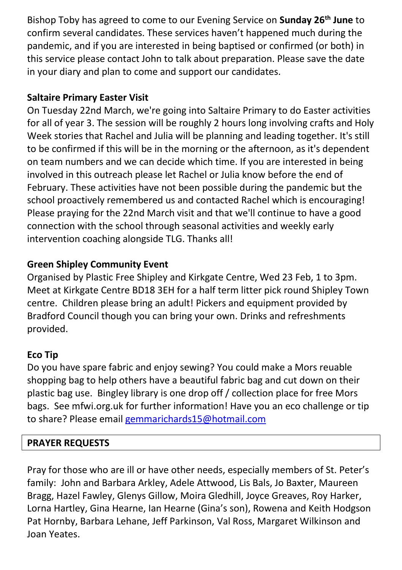Bishop Toby has agreed to come to our Evening Service on **Sunday 26th June** to confirm several candidates. These services haven't happened much during the pandemic, and if you are interested in being baptised or confirmed (or both) in this service please contact John to talk about preparation. Please save the date in your diary and plan to come and support our candidates.

# **Saltaire Primary Easter Visit**

On Tuesday 22nd March, we're going into Saltaire Primary to do Easter activities for all of year 3. The session will be roughly 2 hours long involving crafts and Holy Week stories that Rachel and Julia will be planning and leading together. It's still to be confirmed if this will be in the morning or the afternoon, as it's dependent on team numbers and we can decide which time. If you are interested in being involved in this outreach please let Rachel or Julia know before the end of February. These activities have not been possible during the pandemic but the school proactively remembered us and contacted Rachel which is encouraging! Please praying for the 22nd March visit and that we'll continue to have a good connection with the school through seasonal activities and weekly early intervention coaching alongside TLG. Thanks all!

# **Green Shipley Community Event**

Organised by Plastic Free Shipley and Kirkgate Centre, Wed 23 Feb, 1 to 3pm. Meet at Kirkgate Centre BD18 3EH for a half term litter pick round Shipley Town centre. Children please bring an adult! Pickers and equipment provided by Bradford Council though you can bring your own. Drinks and refreshments provided.

# **Eco Tip**

Do you have spare fabric and enjoy sewing? You could make a Mors reuable shopping bag to help others have a beautiful fabric bag and cut down on their plastic bag use. Bingley library is one drop off / collection place for free Mors bags. See mfwi.org.uk for further information! Have you an eco challenge or tip to share? Please email [gemmarichards15@hotmail.com](mailto:gemmarichards15@hotmail.com)

# **PRAYER REQUESTS**

Pray for those who are ill or have other needs, especially members of St. Peter's family: John and Barbara Arkley, Adele Attwood, Lis Bals, Jo Baxter, Maureen Bragg, Hazel Fawley, Glenys Gillow, Moira Gledhill, Joyce Greaves, Roy Harker, Lorna Hartley, Gina Hearne, Ian Hearne (Gina's son), Rowena and Keith Hodgson Pat Hornby, Barbara Lehane, Jeff Parkinson, Val Ross, Margaret Wilkinson and Joan Yeates.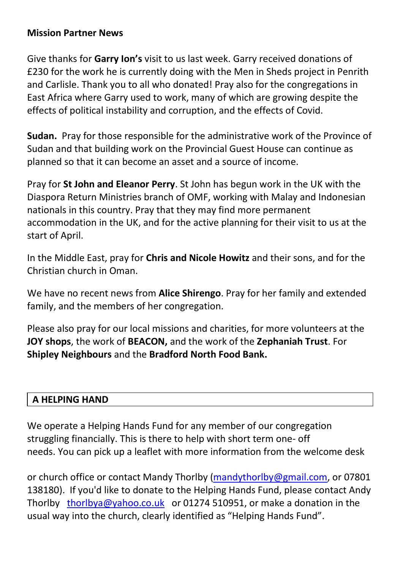## **Mission Partner News**

Give thanks for **Garry Ion's** visit to us last week. Garry received donations of £230 for the work he is currently doing with the Men in Sheds project in Penrith and Carlisle. Thank you to all who donated! Pray also for the congregations in East Africa where Garry used to work, many of which are growing despite the effects of political instability and corruption, and the effects of Covid.

**Sudan.** Pray for those responsible for the administrative work of the Province of Sudan and that building work on the Provincial Guest House can continue as planned so that it can become an asset and a source of income.

Pray for **St John and Eleanor Perry**. St John has begun work in the UK with the Diaspora Return Ministries branch of OMF, working with Malay and Indonesian nationals in this country. Pray that they may find more permanent accommodation in the UK, and for the active planning for their visit to us at the start of April.

In the Middle East, pray for **Chris and Nicole Howitz** and their sons, and for the Christian church in Oman.

We have no recent news from **Alice Shirengo**. Pray for her family and extended family, and the members of her congregation.

Please also pray for our local missions and charities, for more volunteers at the **JOY shops**, the work of **BEACON,** and the work of the **Zephaniah Trust**. For **Shipley Neighbours** and the **Bradford North Food Bank.**

## **A HELPING HAND**

We operate a Helping Hands Fund for any member of our congregation struggling financially. This is there to help with short term one- off needs. You can pick up a leaflet with more information from the welcome desk

or church office or contact Mandy Thorlby [\(mandythorlby@g](mailto:mandythorlby@)mail.com, or 07801 138180). If you'd like to donate to the Helping Hands Fund, please contact Andy Thorlby [thorlbya@yahoo.co.uk](mailto:thorlbya@yahoo.co.uk) or 01274 510951, or make a donation in the usual way into the church, clearly identified as "Helping Hands Fund".